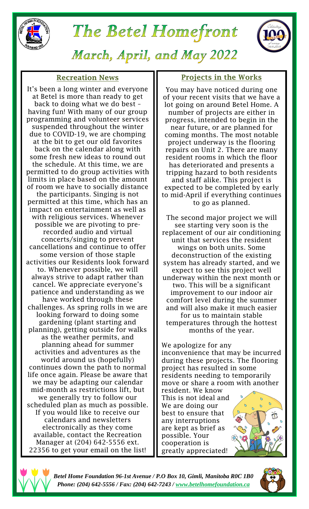

# The Betel Homefront



March, April, and May 2022

#### **Recreation News**

It's been a long winter and everyone at Betel is more than ready to get back to doing what we do best – having fun! With many of our group programming and volunteer services suspended throughout the winter due to COVID-19, we are chomping at the bit to get our old favorites back on the calendar along with some fresh new ideas to round out the schedule. At this time, we are permitted to do group activities with limits in place based on the amount of room we have to socially distance the participants. Singing is not permitted at this time, which has an impact on entertainment as well as with religious services. Whenever possible we are pivoting to prerecorded audio and virtual concerts/singing to prevent cancellations and continue to offer some version of those staple activities our Residents look forward to. Whenever possible, we will always strive to adapt rather than cancel. We appreciate everyone's patience and understanding as we have worked through these challenges. As spring rolls in we are looking forward to doing some gardening (plant starting and planning), getting outside for walks as the weather permits, and planning ahead for summer activities and adventures as the world around us (hopefully) continues down the path to normal life once again. Please be aware that we may be adapting our calendar mid-month as restrictions lift, but we generally try to follow our scheduled plan as much as possible. If you would like to receive our calendars and newsletters electronically as they come available, contact the Recreation Manager at (204) 642-5556 ext. 22356 to get your email on the list!

#### **Projects in the Works**

You may have noticed during one of your recent visits that we have a lot going on around Betel Home. A number of projects are either in progress, intended to begin in the near future, or are planned for coming months. The most notable project underway is the flooring repairs on Unit 2. There are many resident rooms in which the floor has deteriorated and presents a tripping hazard to both residents and staff alike. This project is expected to be completed by early to mid-April if everything continues to go as planned.

The second major project we will see starting very soon is the replacement of our air conditioning unit that services the resident wings on both units. Some deconstruction of the existing system has already started, and we expect to see this project well underway within the next month or two. This will be a significant improvement to our indoor air comfort level during the summer and will also make it much easier for us to maintain stable temperatures through the hottest months of the year.

We apologize for any inconvenience that may be incurred during these projects. The flooring project has resulted in some residents needing to temporarily move or share a room with another resident. We know

This is not ideal and We are doing our best to ensure that any interruptions are kept as brief as possible. Your cooperation is greatly appreciated!





*Betel Home Foundation 96-1st Avenue / P.O Box 10, Gimli, Manitoba R0C 1B0 Phone: (204) 642-5556 / Fax: (204) 642-7243 / [www.betelhomefoundation.ca](http://www.betelhomefoundation.ca/)*